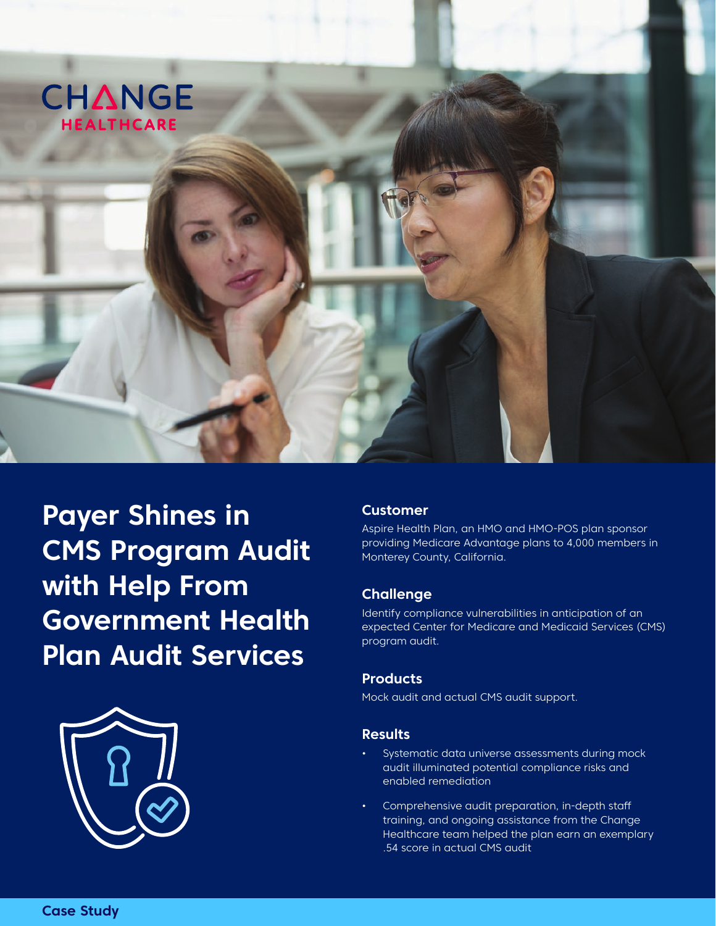

**Payer Shines in CMS Program Audit with Help From Government Health Plan Audit Services** 



### **Customer**

Aspire Health Plan, an HMO and HMO-POS plan sponsor providing Medicare Advantage plans to 4,000 members in Monterey County, California.

### **Challenge**

Identify compliance vulnerabilities in anticipation of an expected Center for Medicare and Medicaid Services (CMS) program audit.

### **Products**

Mock audit and actual CMS audit support.

### **Results**

- Systematic data universe assessments during mock audit illuminated potential compliance risks and enabled remediation
- Comprehensive audit preparation, in-depth staff training, and ongoing assistance from the Change Healthcare team helped the plan earn an exemplary .54 score in actual CMS audit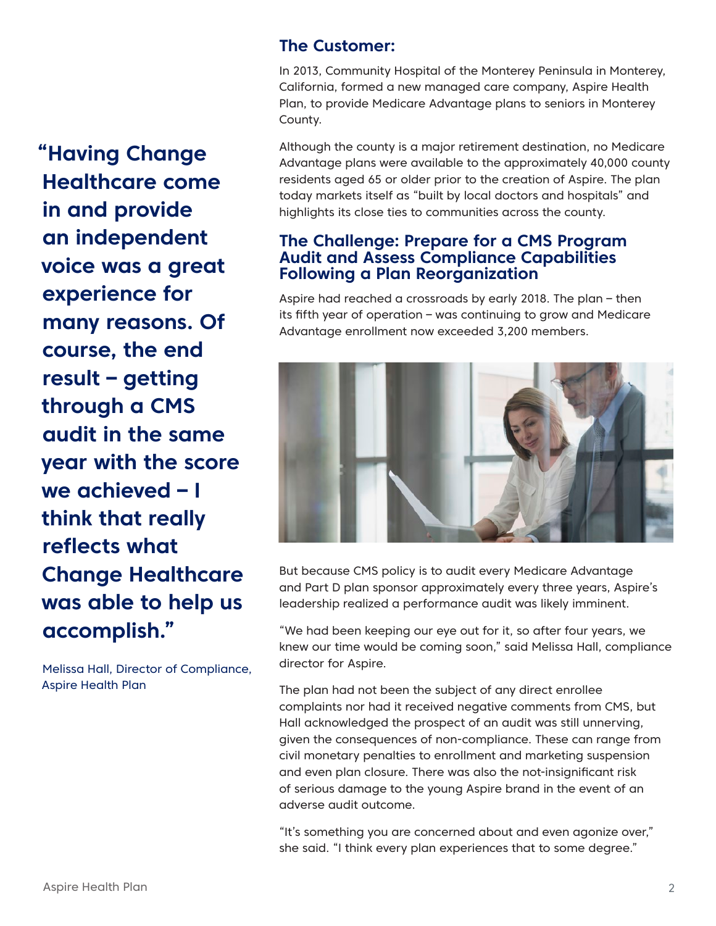**"Having Change Healthcare come in and provide an independent voice was a great experience for many reasons. Of course, the end result – getting through a CMS audit in the same year with the score we achieved – I think that really reflects what Change Healthcare was able to help us accomplish."** 

Melissa Hall, Director of Compliance, Aspire Health Plan

# **The Customer:**

In 2013, Community Hospital of the Monterey Peninsula in Monterey, California, formed a new managed care company, Aspire Health Plan, to provide Medicare Advantage plans to seniors in Monterey County.

Although the county is a major retirement destination, no Medicare Advantage plans were available to the approximately 40,000 county residents aged 65 or older prior to the creation of Aspire. The plan today markets itself as "built by local doctors and hospitals" and highlights its close ties to communities across the county.

# **The Challenge: Prepare for a CMS Program Audit and Assess Compliance Capabilities Following a Plan Reorganization**

Aspire had reached a crossroads by early 2018. The plan – then its fifth year of operation – was continuing to grow and Medicare Advantage enrollment now exceeded 3,200 members.



But because CMS policy is to audit every Medicare Advantage and Part D plan sponsor approximately every three years, Aspire's leadership realized a performance audit was likely imminent.

"We had been keeping our eye out for it, so after four years, we knew our time would be coming soon," said Melissa Hall, compliance director for Aspire.

The plan had not been the subject of any direct enrollee complaints nor had it received negative comments from CMS, but Hall acknowledged the prospect of an audit was still unnerving, given the consequences of non-compliance. These can range from civil monetary penalties to enrollment and marketing suspension and even plan closure. There was also the not-insignificant risk of serious damage to the young Aspire brand in the event of an adverse audit outcome.

"It's something you are concerned about and even agonize over," she said. "I think every plan experiences that to some degree."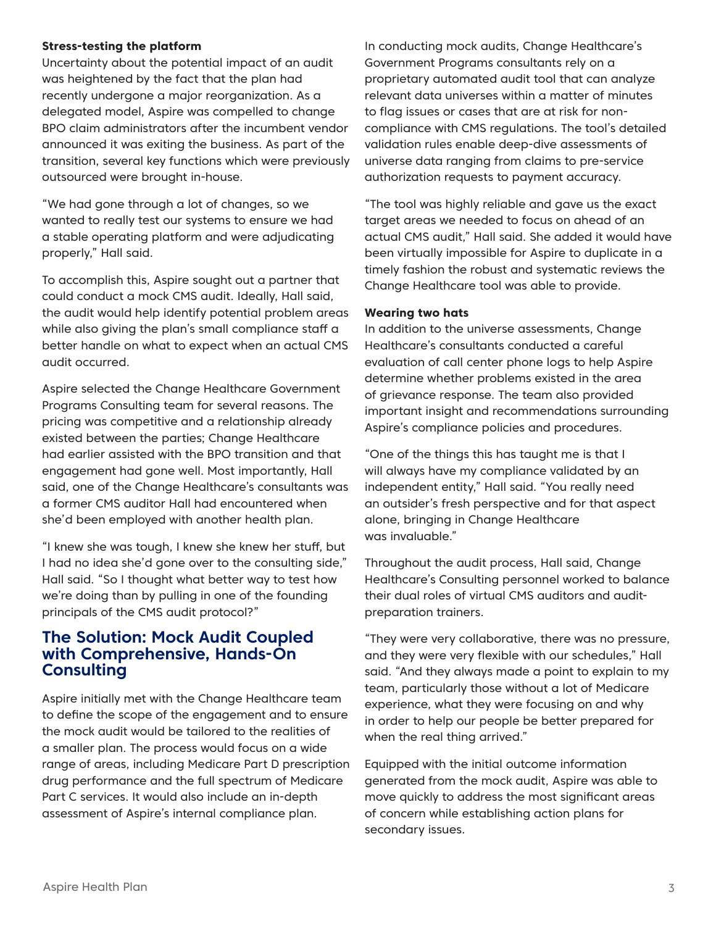#### **Stress-testing the platform**

Uncertainty about the potential impact of an audit was heightened by the fact that the plan had recently undergone a major reorganization. As a delegated model, Aspire was compelled to change BPO claim administrators after the incumbent vendor announced it was exiting the business. As part of the transition, several key functions which were previously outsourced were brought in-house.

"We had gone through a lot of changes, so we wanted to really test our systems to ensure we had a stable operating platform and were adjudicating properly," Hall said.

To accomplish this, Aspire sought out a partner that could conduct a mock CMS audit. Ideally, Hall said, the audit would help identify potential problem areas while also giving the plan's small compliance staff a better handle on what to expect when an actual CMS audit occurred.

Aspire selected the Change Healthcare Government Programs Consulting team for several reasons. The pricing was competitive and a relationship already existed between the parties; Change Healthcare had earlier assisted with the BPO transition and that engagement had gone well. Most importantly, Hall said, one of the Change Healthcare's consultants was a former CMS auditor Hall had encountered when she'd been employed with another health plan.

"I knew she was tough, I knew she knew her stuff, but I had no idea she'd gone over to the consulting side," Hall said. "So I thought what better way to test how we're doing than by pulling in one of the founding principals of the CMS audit protocol?"

## **The Solution: Mock Audit Coupled with Comprehensive, Hands-On Consulting**

Aspire initially met with the Change Healthcare team to define the scope of the engagement and to ensure the mock audit would be tailored to the realities of a smaller plan. The process would focus on a wide range of areas, including Medicare Part D prescription drug performance and the full spectrum of Medicare Part C services. It would also include an in-depth assessment of Aspire's internal compliance plan.

In conducting mock audits, Change Healthcare's Government Programs consultants rely on a proprietary automated audit tool that can analyze relevant data universes within a matter of minutes to flag issues or cases that are at risk for noncompliance with CMS regulations. The tool's detailed validation rules enable deep-dive assessments of universe data ranging from claims to pre-service authorization requests to payment accuracy.

"The tool was highly reliable and gave us the exact target areas we needed to focus on ahead of an actual CMS audit," Hall said. She added it would have been virtually impossible for Aspire to duplicate in a timely fashion the robust and systematic reviews the Change Healthcare tool was able to provide.

#### **Wearing two hats**

In addition to the universe assessments, Change Healthcare's consultants conducted a careful evaluation of call center phone logs to help Aspire determine whether problems existed in the area of grievance response. The team also provided important insight and recommendations surrounding Aspire's compliance policies and procedures.

"One of the things this has taught me is that I will always have my compliance validated by an independent entity," Hall said. "You really need an outsider's fresh perspective and for that aspect alone, bringing in Change Healthcare was invaluable."

Throughout the audit process, Hall said, Change Healthcare's Consulting personnel worked to balance their dual roles of virtual CMS auditors and auditpreparation trainers.

"They were very collaborative, there was no pressure, and they were very flexible with our schedules," Hall said. "And they always made a point to explain to my team, particularly those without a lot of Medicare experience, what they were focusing on and why in order to help our people be better prepared for when the real thing arrived."

Equipped with the initial outcome information generated from the mock audit, Aspire was able to move quickly to address the most significant areas of concern while establishing action plans for secondary issues.